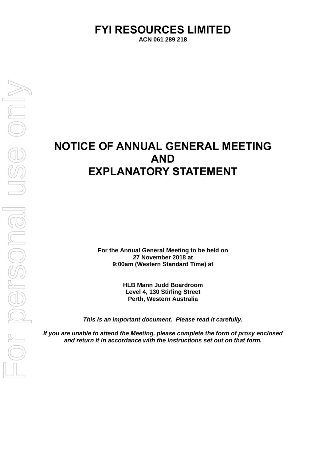# **FYI RESOURCES LIMITED**

**ACN 061 289 218**

# **NOTICE OF ANNUAL GENERAL MEETING AND EXPLANATORY STATEMENT**

**For the Annual General Meeting to be held on 27 November 2018 at 9:00am (Western Standard Time) at**

> **HLB Mann Judd Boardroom Level 4, 130 Stirling Street Perth, Western Australia**

*This is an important document. Please read it carefully.*

*If you are unable to attend the Meeting, please complete the form of proxy enclosed and return it in accordance with the instructions set out on that form.*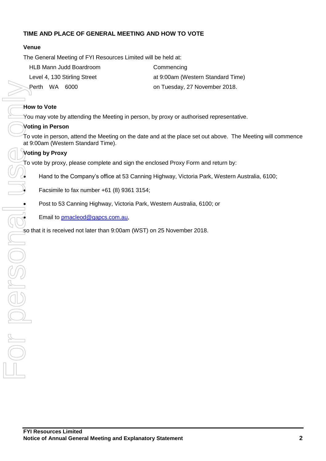# **TIME AND PLACE OF GENERAL MEETING AND HOW TO VOTE**

# **Venue**

The General Meeting of FYI Resources Limited will be held at:

| HLB Mann Judd Boardroom      | Commencing                        |  |
|------------------------------|-----------------------------------|--|
| Level 4, 130 Stirling Street | at 9:00am (Western Standard Time) |  |
| Perth WA 6000                | on Tuesday, 27 November 2018.     |  |

# **How to Vote**

You may vote by attending the Meeting in person, by proxy or authorised representative.

# **Voting in Person**

To vote in person, attend the Meeting on the date and at the place set out above. The Meeting will commence at 9:00am (Western Standard Time).

To vote by proxy, please complete and sign the enclosed Proxy Form and return by:

• Hand to the Company's office at 53 Canning Highway, Victoria Park, Western Australia, 6100;

• Facsimile to fax number  $+61$  (8) 9361 3154;

• Post to 53 Canning Highway, Victoria Park, Western Australia, 6100; or

**Email to [pmacleod@gapcs.com.au,](mailto:pmacleod@gapcs.com.au)**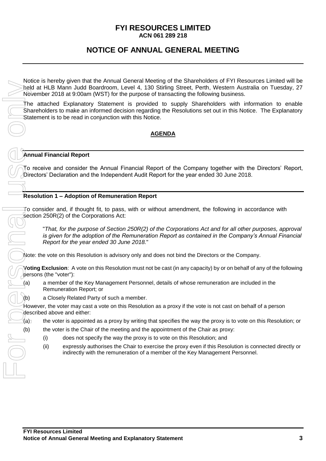# **FYI RESOURCES LIMITED ACN 061 289 218**

# **NOTICE OF ANNUAL GENERAL MEETING**

Notice is hereby given that the Annual General Meeting of the Shareholders of FYI Resources Limited will be held at HLB Mann Judd Boardroom, Level 4, 130 Stirling Street, Perth, Western Australia on Tuesday, 27 November 2018 at 9:00am (WST) for the purpose of transacting the following business.

The attached Explanatory Statement is provided to supply Shareholders with information to enable Shareholders to make an informed decision regarding the Resolutions set out in this Notice. The Explanatory Statement is to be read in conjunction with this Notice.

# **AGENDA**

### **Annual Financial Report**

To receive and consider the Annual Financial Report of the Company together with the Directors' Report, Directors' Declaration and the Independent Audit Report for the year ended 30 June 2018.

### **Resolution 1 – Adoption of Remuneration Report**

To consider and, if thought fit, to pass, with or without amendment, the following in accordance with section 250R(2) of the Corporations Act:

"*That, for the purpose of Section 250R(2) of the Corporations Act and for all other purposes, approval is given for the adoption of the Remuneration Report as contained in the Company's Annual Financial Report for the year ended 30 June 2018.*"

Note: the vote on this Resolution is advisory only and does not bind the Directors or the Company.

**Voting Exclusion**: A vote on this Resolution must not be cast (in any capacity) by or on behalf of any of the following persons (the "voter"):

(a) a member of the Key Management Personnel, details of whose remuneration are included in the Remuneration Report; or

(b) a Closely Related Party of such a member.

However, the voter may cast a vote on this Resolution as a proxy if the vote is not cast on behalf of a person described above and either:

- $(a)$  the voter is appointed as a proxy by writing that specifies the way the proxy is to vote on this Resolution; or
- (b) the voter is the Chair of the meeting and the appointment of the Chair as proxy:
	- (i) does not specify the way the proxy is to vote on this Resolution; and
	- (ii) expressly authorises the Chair to exercise the proxy even if this Resolution is connected directly or indirectly with the remuneration of a member of the Key Management Personnel.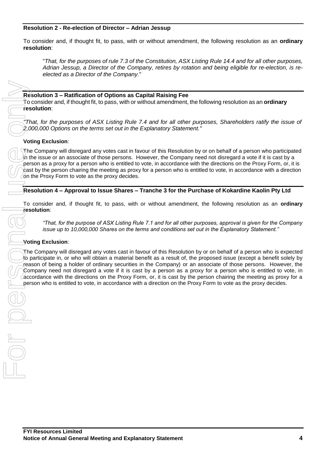### **Resolution 2 - Re-election of Director – Adrian Jessup**

To consider and, if thought fit, to pass, with or without amendment, the following resolution as an **ordinary resolution**:

"*That, for the purposes of rule 7.3 of the Constitution, ASX Listing Rule 14.4 and for all other purposes, Adrian Jessup, a Director of the Company, retires by rotation and being eligible for re-election, is reelected as a Director of the Company.*"

**Resolution 3 – Ratification of Options as Capital Raising Fee** To consider and, if thought fit, to pass, with or without amendment, the following resolution as an **ordinary resolution**:

*"That, for the purposes of ASX Listing Rule 7.4 and for all other purposes, Shareholders ratify the issue of 2,000,000 Options on the terms set out in the Explanatory Statement."*

### **Voting Exclusion**:

The Company will disregard any votes cast in favour of this Resolution by or on behalf of a person who participated in the issue or an associate of those persons. However, the Company need not disregard a vote if it is cast by a person as a proxy for a person who is entitled to vote, in accordance with the directions on the Proxy Form, or, it is cast by the person chairing the meeting as proxy for a person who is entitled to vote, in accordance with a direction on the Proxy Form to vote as the proxy decides.

### **Resolution 4 – Approval to Issue Shares – Tranche 3 for the Purchase of Kokardine Kaolin Pty Ltd**

To consider and, if thought fit, to pass, with or without amendment, the following resolution as an **ordinary resolution**:

*"That, for the purpose of ASX Listing Rule 7.1 and for all other purposes, approval is given for the Company issue up to 10,000,000 Shares on the terms and conditions set out in the Explanatory Statement."*

#### **Voting Exclusion**:

The Company will disregard any votes cast in favour of this Resolution by or on behalf of a person who is expected to participate in, or who will obtain a material benefit as a result of, the proposed issue (except a benefit solely by reason of being a holder of ordinary securities in the Company) or an associate of those persons. However, the Company need not disregard a vote if it is cast by a person as a proxy for a person who is entitled to vote, in  $\alpha$  accordance with the directions on the Proxy Form, or, it is cast by the person chairing the meeting as proxy for a **Presolution 3 – Ratification of Options as Capital Ratising Fee<br>
To consider and, if thought fit, to pass, with or without amendment, the following resolution as an ordinary<br>
That for the proposes of ASX Listing Rule 7.4**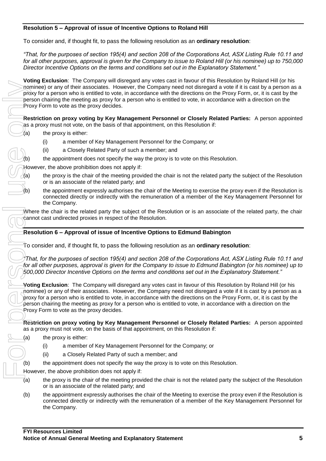# **Resolution 5 – Approval of issue of Incentive Options to Roland Hill**

To consider and, if thought fit, to pass the following resolution as an **ordinary resolution**:

*"That, for the purposes of section 195(4) and section 208 of the Corporations Act, ASX Listing Rule 10.11 and for all other purposes, approval is given for the Company to issue to Roland Hill (or his nominee) up to 750,000 Director Incentive Options on the terms and conditions set out in the Explanatory Statement."*

**Voting Exclusion**: The Company will disregard any votes cast in favour of this Resolution by Roland Hill (or his nominee) or any of their associates. However, the Company need not disregard a vote if it is cast by a person as a proxy for a person who is entitled to vote, in accordance with the directions on the Proxy Form, or, it is cast by the person chairing the meeting as proxy for a person who is entitled to vote, in accordance with a direction on the Proxy Form to vote as the proxy decides.

**Restriction on proxy voting by Key Management Personnel or Closely Related Parties:** A person appointed as a proxy must not vote, on the basis of that appointment, on this Resolution if:

- $(a)$  the proxy is either:
	- (i) a member of Key Management Personnel for the Company; or
	- (ii) a Closely Related Party of such a member; and
	- the appointment does not specify the way the proxy is to vote on this Resolution.

However, the above prohibition does not apply if:

- (a) the proxy is the chair of the meeting provided the chair is not the related party the subject of the Resolution or is an associate of the related party; and
- (b) the appointment expressly authorises the chair of the Meeting to exercise the proxy even if the Resolution is connected directly or indirectly with the remuneration of a member of the Key Management Personnel for the Company.

Where the chair is the related party the subject of the Resolution or is an associate of the related party, the chair cannot cast undirected proxies in respect of the Resolution.

# **Resolution 6 – Approval of issue of Incentive Options to Edmund Babington**

To consider and, if thought fit, to pass the following resolution as an **ordinary resolution**:

*"That, for the purposes of section 195(4) and section 208 of the Corporations Act, ASX Listing Rule 10.11 and for all other purposes, approval is given for the Company to issue to Edmund Babington (or his nominee) up to 500,000 Director Incentive Options on the terms and conditions set out in the Explanatory Statement."*

**Voting Exclusion**: The Company will disregard any votes cast in favour of this Resolution by Roland Hill (or his nominee) or any of their associates. However, the Company need not disregard a vote if it is cast by a person as a proxy for a person who is entitled to vote, in accordance with the directions on the Proxy Form, or, it is cast by the person chairing the meeting as proxy for a person who is entitled to vote, in accordance with a direction on the Proxy Form to vote as the proxy decides. For personal use of personal use of personal use of personal use of personal use of personal use of personal use of personal use of personal use of personal use of personal use of personal use of personal use of personal u

**Restriction on proxy voting by Key Management Personnel or Closely Related Parties:** A person appointed as a proxy must not vote, on the basis of that appointment, on this Resolution if:

- (a) the proxy is either:
	- (i) a member of Key Management Personnel for the Company; or
	- (ii) a Closely Related Party of such a member; and
- (b) the appointment does not specify the way the proxy is to vote on this Resolution.

However, the above prohibition does not apply if:

- $\overline{a}$  the proxy is the chair of the meeting provided the chair is not the related party the subject of the Resolution or is an associate of the related party; and
- (b) the appointment expressly authorises the chair of the Meeting to exercise the proxy even if the Resolution is connected directly or indirectly with the remuneration of a member of the Key Management Personnel for the Company.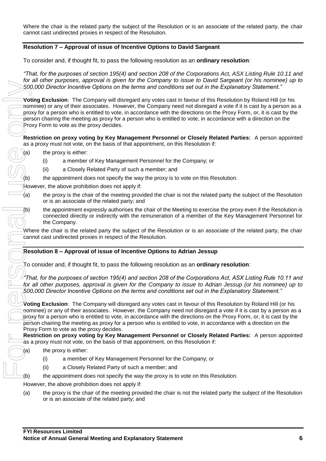Where the chair is the related party the subject of the Resolution or is an associate of the related party, the chair cannot cast undirected proxies in respect of the Resolution.

# **Resolution 7 – Approval of issue of Incentive Options to David Sargeant**

To consider and, if thought fit, to pass the following resolution as an **ordinary resolution**:

*"That, for the purposes of section 195(4) and section 208 of the Corporations Act, ASX Listing Rule 10.11 and for all other purposes, approval is given for the Company to issue to David Sargeant (or his nominee) up to 500,000 Director Incentive Options on the terms and conditions set out in the Explanatory Statement."*

**Voting Exclusion**: The Company will disregard any votes cast in favour of this Resolution by Roland Hill (or his nominee) or any of their associates. However, the Company need not disregard a vote if it is cast by a person as a proxy for a person who is entitled to vote, in accordance with the directions on the Proxy Form, or, it is cast by the person chairing the meeting as proxy for a person who is entitled to vote, in accordance with a direction on the Proxy Form to vote as the proxy decides.

#### **Restriction on proxy voting by Key Management Personnel or Closely Related Parties:** A person appointed as a proxy must not vote, on the basis of that appointment, on this Resolution if:

- (a) the proxy is either:
	- (i) a member of Key Management Personnel for the Company; or
	- (ii) a Closely Related Party of such a member; and
- (b) the appointment does not specify the way the proxy is to vote on this Resolution.

However, the above prohibition does not apply if:

- (a) the proxy is the chair of the meeting provided the chair is not the related party the subject of the Resolution or is an associate of the related party; and
- (b) the appointment expressly authorises the chair of the Meeting to exercise the proxy even if the Resolution is connected directly or indirectly with the remuneration of a member of the Key Management Personnel for the Company.

Where the chair is the related party the subject of the Resolution or is an associate of the related party, the chair cannot cast undirected proxies in respect of the Resolution.

# **Resolution 8 – Approval of issue of Incentive Options to Adrian Jessup**

To consider and, if thought fit, to pass the following resolution as an **ordinary resolution**:

*"That, for the purposes of section 195(4) and section 208 of the Corporations Act, ASX Listing Rule 10.11 and for all other purposes, approval is given for the Company to issue to Adrian Jessup (or his nominee) up to 500,000 Director Incentive Options on the terms and conditions set out in the Explanatory Statement."*

**Voting Exclusion**: The Company will disregard any votes cast in favour of this Resolution by Roland Hill (or his nominee) or any of their associates. However, the Company need not disregard a vote if it is cast by a person as a proxy for a person who is entitled to vote, in accordance with the directions on the Proxy Form, or, it is cast by the person chairing the meeting as proxy for a person who is entitled to vote, in accordance with a direction on the Proxy Form to vote as the proxy decides.

**Restriction on proxy voting by Key Management Personnel or Closely Related Parties:** A person appointed as a proxy must not vote, on the basis of that appointment, on this Resolution if:

- (a) the proxy is either:
	- (i) a member of Key Management Personnel for the Company; or
	- (ii) a Closely Related Party of such a member; and
- (b) the appointment does not specify the way the proxy is to vote on this Resolution.

However, the above prohibition does not apply if:

(a) the proxy is the chair of the meeting provided the chair is not the related party the subject of the Resolution or is an associate of the related party; and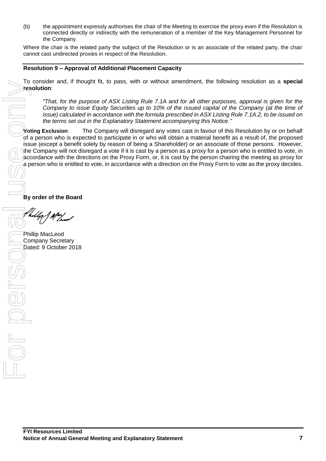(b) the appointment expressly authorises the chair of the Meeting to exercise the proxy even if the Resolution is connected directly or indirectly with the remuneration of a member of the Key Management Personnel for the Company.

Where the chair is the related party the subject of the Resolution or is an associate of the related party, the chair cannot cast undirected proxies in respect of the Resolution.

### **Resolution 9 – Approval of Additional Placement Capacity**

To consider and, if thought fit, to pass, with or without amendment, the following resolution as a **special resolution**:

*"That, for the purpose of ASX Listing Rule 7.1A and for all other purposes, approval is given for the Company to issue Equity Securities up to 10% of the issued capital of the Company (at the time of issue) calculated in accordance with the formula prescribed in ASX Listing Rule 7.1A.2, to be issued on the terms set out in the Explanatory Statement accompanying this Notice."*

**Voting Exclusion**: The Company will disregard any votes cast in favour of this Resolution by or on behalf of a person who is expected to participate in or who will obtain a material benefit as a result of, the proposed issue (except a benefit solely by reason of being a Shareholder) or an associate of those persons. However, the Company will not disregard a vote if it is cast by a person as a proxy for a person who is entitled to vote, in accordance with the directions on the Proxy Form, or, it is cast by the person chairing the meeting as proxy for a person who is entitled to vote, in accordance with a direction on the Proxy Form to vote as the proxy decides.

**By order of the Board**

Dated: 9 October 2018<br> **For personal use of personal use of personal use of personal use of personal use of personal use of personal use of personal use of personal use of personal use of personal use of personal use of pe** 

Phillip MacLeod Company Secretary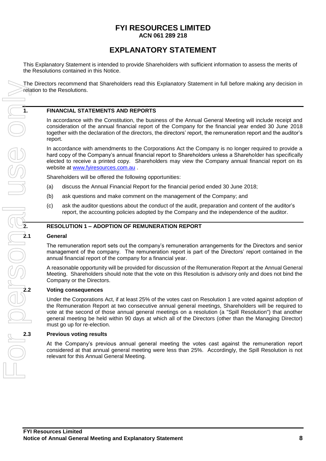# **FYI RESOURCES LIMITED ACN 061 289 218**

# **EXPLANATORY STATEMENT**

This Explanatory Statement is intended to provide Shareholders with sufficient information to assess the merits of the Resolutions contained in this Notice.

The Directors recommend that Shareholders read this Explanatory Statement in full before making any decision in relation to the Resolutions.

### **1. FINANCIAL STATEMENTS AND REPORTS**

In accordance with the Constitution, the business of the Annual General Meeting will include receipt and consideration of the annual financial report of the Company for the financial year ended 30 June 2018 together with the declaration of the directors, the directors' report, the remuneration report and the auditor's report.

In accordance with amendments to the Corporations Act the Company is no longer required to provide a hard copy of the Company's annual financial report to Shareholders unless a Shareholder has specifically elected to receive a printed copy. Shareholders may view the Company annual financial report on its website at [www.fyiresources.com.au](http://www.fyiresources.com.au/) .

Shareholders will be offered the following opportunities:

- (a) discuss the Annual Financial Report for the financial period ended 30 June 2018;
- (b) ask questions and make comment on the management of the Company; and
- (c) ask the auditor questions about the conduct of the audit, preparation and content of the auditor's report, the accounting policies adopted by the Company and the independence of the auditor.

#### **2. RESOLUTION 1 – ADOPTION OF REMUNERATION REPORT**

#### **2.1 General**

The remuneration report sets out the company's remuneration arrangements for the Directors and senior management of the company. The remuneration report is part of the Directors' report contained in the annual financial report of the company for a financial year.

A reasonable opportunity will be provided for discussion of the Remuneration Report at the Annual General Meeting. Shareholders should note that the vote on this Resolution is advisory only and does not bind the Company or the Directors.

#### **2.2 Voting consequences**

Under the Corporations Act, if at least 25% of the votes cast on Resolution 1 are voted against adoption of the Remuneration Report at two consecutive annual general meetings, Shareholders will be required to vote at the second of those annual general meetings on a resolution (a "Spill Resolution") that another general meeting be held within 90 days at which all of the Directors (other than the Managing Director) must go up for re-election.

#### **2.3 Previous voting results**

At the Company's previous annual general meeting the votes cast against the remuneration report considered at that annual general meeting were less than 25%. Accordingly, the Spill Resolution is not relevant for this Annual General Meeting.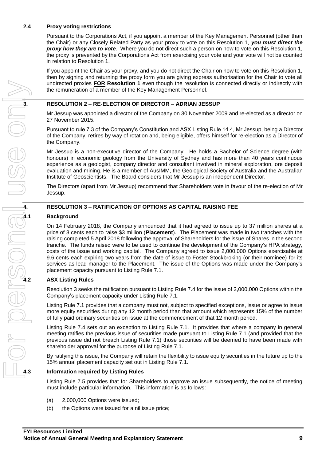### **2.4 Proxy voting restrictions**

Pursuant to the Corporations Act, if you appoint a member of the Key Management Personnel (other than the Chair) or any Closely Related Party as your proxy to vote on this Resolution 1, *you must direct the proxy how they are to vote*. Where you do not direct such a person on how to vote on this Resolution 1, the proxy is prevented by the Corporations Act from exercising your vote and your vote will not be counted in relation to Resolution 1.

If you appoint the Chair as your proxy, and you do not direct the Chair on how to vote on this Resolution 1, then by signing and returning the proxy form you are giving express authorisation for the Chair to vote all undirected proxies **FOR Resolution 1** even though the resolution is connected directly or indirectly with the remuneration of a member of the Key Management Personnel.

Mr Jessup was appointed a director of the Company on 30 November 2009 and re-elected as a director on 27 November 2015.

the remuneration of a member of the Key Management Personnel.<br> **3. RESOLUTION 2 – RE-ELECTION OF DIRECTOR – ADRIAN JESSUP**<br>
Mr Jessup was appointed a director of the Company on 30 November 20<br>
27 November 2015.<br>
Pursuant Pursuant to rule 7.3 of the Company's Constitution and ASX Listing Rule 14.4, Mr Jessup, being a Director of the Company, retires by way of rotation and, being eligible, offers himself for re-election as a Director of the Company.

Mr Jessup is a non-executive director of the Company. He holds a Bachelor of Science degree (with honours) in economic geology from the University of Sydney and has more than 40 years continuous experience as a geologist, company director and consultant involved in mineral exploration, ore deposit evaluation and mining. He is a member of AusIMM, the Geological Society of Australia and the Australian Institute of Geoscientists. The Board considers that Mr Jessup is an independent Director.

The Directors (apart from Mr Jessup) recommend that Shareholders vote in favour of the re-election of Mr Jessup.

### **4. RESOLUTION 3 – RATIFICATION OF OPTIONS AS CAPITAL RAISING FEE**

#### **4.1 Background**

On 14 February 2018, the Company announced that it had agreed to issue up to 37 million shares at a price of 8 cents each to raise \$3 million (**Placement**). The Placement was made in two tranches with the raising completed 5 April 2018 following the approval of Shareholders for the issue of Shares in the second tranche. The funds raised were to be used to continue the development of the Company's HPA strategy, costs of the issue and working capital. The Company agreed to issue 2,000,000 Options exercisable at 9.6 cents each expiring two years from the date of issue to Foster Stockbroking (or their nominee) for its services as lead manager to the Placement. The issue of the Options was made under the Company's placement capacity pursuant to Listing Rule 7.1.

Resolution 3 seeks the ratification pursuant to Listing Rule 7.4 for the issue of 2,000,000 Options within the Company's placement capacity under Listing Rule 7.1.

Listing Rule 7.1 provides that a company must not, subject to specified exceptions, issue or agree to issue more equity securities during any 12 month period than that amount which represents 15% of the number of fully paid ordinary securities on issue at the commencement of that 12 month period.

Listing Rule 7.4 sets out an exception to Listing Rule 7.1. It provides that where a company in general meeting ratifies the previous issue of securities made pursuant to Listing Rule 7.1 (and provided that the previous issue did not breach Listing Rule 7.1) those securities will be deemed to have been made with shareholder approval for the purpose of Listing Rule 7.1.

By ratifying this issue, the Company will retain the flexibility to issue equity securities in the future up to the 15% annual placement capacity set out in Listing Rule 7.1.

#### **4.3 Information required by Listing Rules**

Listing Rule 7.5 provides that for Shareholders to approve an issue subsequently, the notice of meeting must include particular information. This information is as follows:

- (a) 2,000,000 Options were issued;
- (b) the Options were issued for a nil issue price;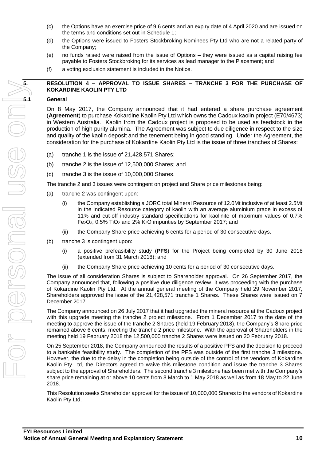- (c) the Options have an exercise price of 9.6 cents and an expiry date of 4 April 2020 and are issued on the terms and conditions set out in Schedule 1;
- (d) the Options were issued to Fosters Stockbroking Nominees Pty Ltd who are not a related party of the Company;
- (e) no funds raised were raised from the issue of Options they were issued as a capital raising fee payable to Fosters Stockbroking for its services as lead manager to the Placement; and
- (f) a voting exclusion statement is included in the Notice.

### **5. RESOLUTION 4 – APPROVAL TO ISSUE SHARES – TRANCHE 3 FOR THE PURCHASE OF KOKARDINE KAOLIN PTY LTD**

On 8 May 2017, the Company announced that it had entered a share purchase agreement (**Agreement**) to purchase Kokardine Kaolin Pty Ltd which owns the Cadoux kaolin project (E70/4673) in Western Australia. Kaolin from the Cadoux project is proposed to be used as feedstock in the production of high purity alumina. The Agreement was subject to due diligence in respect to the size and quality of the kaolin deposit and the tenement being in good standing. Under the Agreement, the consideration for the purchase of Kokardine Kaolin Pty Ltd is the issue of three tranches of Shares:

- $(a)$  tranche 1 is the issue of 21,428,571 Shares;
- (b) tranche 2 is the issue of 12,500,000 Shares; and
- (c) tranche 3 is the issue of 10,000,000 Shares.

The tranche 2 and 3 issues were contingent on project and Share price milestones being:

- (a) tranche 2 was contingent upon:
	- (i) the Company establishing a JORC total Mineral Resource of 12.0Mt inclusive of at least 2.5Mt in the Indicated Resource category of kaolin with an average aluminium grade in excess of 11% and cut-off industry standard specifications for kaolinite of maximum values of 0.7% Fe2O3, 0.5% TiO<sup>2</sup> and 2% K2O impurities by September 2017; and
	- (ii) the Company Share price achieving 6 cents for a period of 30 consecutive days.
- (b) tranche 3 is contingent upon:
	- (i) a positive prefeasibility study (**PFS**) for the Project being completed by 30 June 2018 (extended from 31 March 2018); and
	- (ii) the Company Share price achieving 10 cents for a period of 30 consecutive days.

The issue of all consideration Shares is subject to Shareholder approval. On 26 September 2017, the Company announced that, following a positive due diligence review, it was proceeding with the purchase of Kokardine Kaolin Pty Ltd. At the annual general meeting of the Company held 29 November 2017, Shareholders approved the issue of the 21,428,571 tranche 1 Shares. These Shares were issued on 7 December 2017.

The Company announced on 26 July 2017 that it had upgraded the mineral resource at the Cadoux project with this upgrade meeting the tranche 2 project milestone. From 1 December 2017 to the date of the meeting to approve the issue of the tranche 2 Shares (held 19 February 2018), the Company's Share price remained above 6 cents, meeting the tranche 2 price milestone. With the approval of Shareholders in the meeting held 19 February 2018 the 12,500,000 tranche 2 Shares were issued on 20 February 2018.

On 25 September 2018, the Company announced the results of a positive PFS and the decision to proceed to a bankable feasibility study. The completion of the PFS was outside of the first tranche 3 milestone. However, the due to the delay in the completion being outside of the control of the vendors of Kokardine Kaolin Pty Ltd, the Directors agreed to waive this milestone condition and issue the tranche 3 Shares subject to the approval of Shareholders. The second tranche 3 milestone has been met with the Company's share price remaining at or above 10 cents from 8 March to 1 May 2018 as well as from 18 May to 22 June 2018.

This Resolution seeks Shareholder approval for the issue of 10,000,000 Shares to the vendors of Kokardine Kaolin Pty Ltd.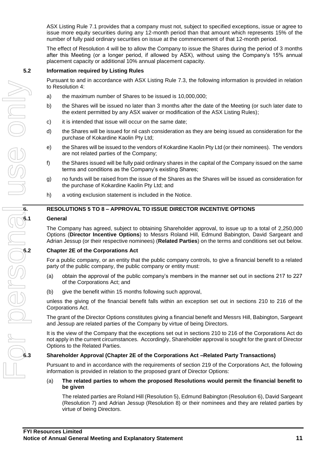ASX Listing Rule 7.1 provides that a company must not, subject to specified exceptions, issue or agree to issue more equity securities during any 12-month period than that amount which represents 15% of the number of fully paid ordinary securities on issue at the commencement of that 12-month period.

The effect of Resolution 4 will be to allow the Company to issue the Shares during the period of 3 months after this Meeting (or a longer period, if allowed by ASX), without using the Company's 15% annual placement capacity or additional 10% annual placement capacity.

#### **5.2 Information required by Listing Rules**

Pursuant to and in accordance with ASX Listing Rule 7.3, the following information is provided in relation to Resolution 4:

- a) the maximum number of Shares to be issued is 10,000,000;
- b) the Shares will be issued no later than 3 months after the date of the Meeting (or such later date to the extent permitted by any ASX waiver or modification of the ASX Listing Rules);
- c) it is intended that issue will occur on the same date;
- d) the Shares will be issued for nil cash consideration as they are being issued as consideration for the purchase of Kokardine Kaolin Pty Ltd;
- e) the Shares will be issued to the vendors of Kokardine Kaolin Pty Ltd (or their nominees). The vendors are not related parties of the Company;
- f) the Shares issued will be fully paid ordinary shares in the capital of the Company issued on the same terms and conditions as the Company's existing Shares;
- g) no funds will be raised from the issue of the Shares as the Shares will be issued as consideration for the purchase of Kokardine Kaolin Pty Ltd; and
- h) a voting exclusion statement is included in the Notice.

# **6. RESOLUTIONS 5 TO 8 – APPROVAL TO ISSUE DIRECTOR INCENTIVE OPTIONS**

#### **6.1 General**

The Company has agreed, subject to obtaining Shareholder approval, to issue up to a total of 2,250,000 Options (**Director Incentive Options**) to Messrs Roland Hill, Edmund Babington, David Sargeant and Adrian Jessup (or their respective nominees) (**Related Parties**) on the terms and conditions set out below.

#### **6.2 Chapter 2E of the Corporations Act**

For a public company, or an entity that the public company controls, to give a financial benefit to a related party of the public company, the public company or entity must:

- (a) obtain the approval of the public company's members in the manner set out in sections 217 to 227 of the Corporations Act; and
- (b) give the benefit within 15 months following such approval,

unless the giving of the financial benefit falls within an exception set out in sections 210 to 216 of the Corporations Act.

The grant of the Director Options constitutes giving a financial benefit and Messrs Hill, Babington, Sargeant and Jessup are related parties of the Company by virtue of being Directors.

It is the view of the Company that the exceptions set out in sections 210 to 216 of the Corporations Act do not apply in the current circumstances. Accordingly, Shareholder approval is sought for the grant of Director Options to the Related Parties.

#### **6.3 Shareholder Approval (Chapter 2E of the Corporations Act –Related Party Transactions)**

Pursuant to and in accordance with the requirements of section 219 of the Corporations Act, the following information is provided in relation to the proposed grant of Director Options:

(a) **The related parties to whom the proposed Resolutions would permit the financial benefit to be given**

The related parties are Roland Hill (Resolution 5), Edmund Babington (Resolution 6), David Sargeant (Resolution 7) and Adrian Jessup (Resolution 8) or their nominees and they are related parties by virtue of being Directors.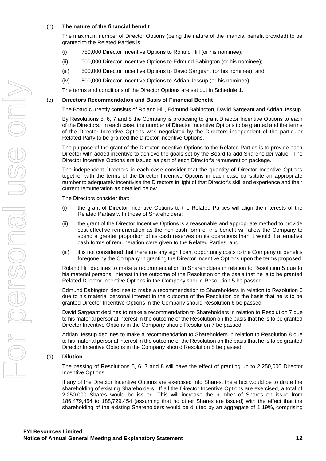### (b) **The nature of the financial benefit**

The maximum number of Director Options (being the nature of the financial benefit provided) to be granted to the Related Parties is:

- (i) 750,000 Director Incentive Options to Roland Hill (or his nominee);
- (ii) 500,000 Director Incentive Options to Edmund Babington (or his nominee);
- (iii) 500,000 Director Incentive Options to David Sargeant (or his nominee); and
- (iv) 500,000 Director Incentive Options to Adrian Jessup (or his nominee).

The terms and conditions of the Director Options are set out in Schedule 1.

#### (c) **Directors Recommendation and Basis of Financial Benefit**

The Board currently consists of Roland Hill, Edmund Babington, David Sargeant and Adrian Jessup.

By Resolutions 5, 6, 7 and 8 the Company is proposing to grant Director Incentive Options to each of the Directors. In each case, the number of Director Incentive Options to be granted and the terms of the Director Incentive Options was negotiated by the Directors independent of the particular Related Party to be granted the Director Incentive Options.

The purpose of the grant of the Director Incentive Options to the Related Parties is to provide each Director with added incentive to achieve the goals set by the Board to add Shareholder value. The Director Incentive Options are issued as part of each Director's remuneration package.

The independent Directors in each case consider that the quantity of Director Incentive Options together with the terms of the Director Incentive Options in each case constitute an appropriate number to adequately incentivise the Directors in light of that Director's skill and experience and their current remuneration as detailed below.

The Directors consider that:

- (i) the grant of Director Incentive Options to the Related Parties will align the interests of the Related Parties with those of Shareholders;
- (ii) the grant of the Director Incentive Options is a reasonable and appropriate method to provide cost effective remuneration as the non-cash form of this benefit will allow the Company to spend a greater proportion of its cash reserves on its operations than it would if alternative cash forms of remuneration were given to the Related Parties; and
- (iii) it is not considered that there are any significant opportunity costs to the Company or benefits foregone by the Company in granting the Director Incentive Options upon the terms proposed.

Roland Hill declines to make a recommendation to Shareholders in relation to Resolution 5 due to his material personal interest in the outcome of the Resolution on the basis that he is to be granted Related Director Incentive Options in the Company should Resolution 5 be passed.

Edmund Babington declines to make a recommendation to Shareholders in relation to Resolution 6 due to his material personal interest in the outcome of the Resolution on the basis that he is to be granted Director Incentive Options in the Company should Resolution 6 be passed.

David Sargeant declines to make a recommendation to Shareholders in relation to Resolution 7 due to his material personal interest in the outcome of the Resolution on the basis that he is to be granted Director Incentive Options in the Company should Resolution 7 be passed.

Adrian Jessup declines to make a recommendation to Shareholders in relation to Resolution 8 due to his material personal interest in the outcome of the Resolution on the basis that he is to be granted Director Incentive Options in the Company should Resolution 8 be passed.

#### (d) **Dilution**

The passing of Resolutions 5, 6, 7 and 8 will have the effect of granting up to 2,250,000 Director Incentive Options.

If any of the Director Incentive Options are exercised into Shares, the effect would be to dilute the shareholding of existing Shareholders. If all the Director Incentive Options are exercised, a total of 2,250,000 Shares would be issued. This will increase the number of Shares on issue from 186,479,454 to 188,729,454 (assuming that no other Shares are issued) with the effect that the shareholding of the existing Shareholders would be diluted by an aggregate of 1.19%, comprising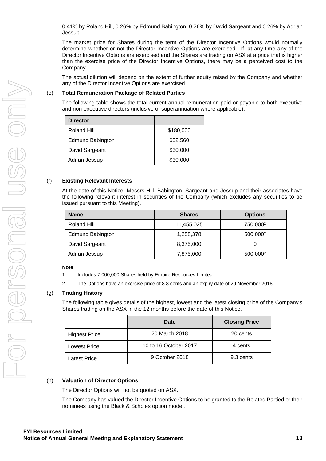0.41% by Roland Hill, 0.26% by Edmund Babington, 0.26% by David Sargeant and 0.26% by Adrian Jessup.

The market price for Shares during the term of the Director Incentive Options would normally determine whether or not the Director Incentive Options are exercised. If, at any time any of the Director Incentive Options are exercised and the Shares are trading on ASX at a price that is higher than the exercise price of the Director Incentive Options, there may be a perceived cost to the Company.

The actual dilution will depend on the extent of further equity raised by the Company and whether any of the Director Incentive Options are exercised.

#### (e) **Total Remuneration Package of Related Parties**

The following table shows the total current annual remuneration paid or payable to both executive and non-executive directors (inclusive of superannuation where applicable).

| <b>Director</b>         |           |
|-------------------------|-----------|
| Roland Hill             | \$180,000 |
| <b>Edmund Babington</b> | \$52,560  |
| David Sargeant          | \$30,000  |
| Adrian Jessup           | \$30,000  |

#### (f) **Existing Relevant Interests**

At the date of this Notice, Messrs Hill, Babington, Sargeant and Jessup and their associates have the following relevant interest in securities of the Company (which excludes any securities to be issued pursuant to this Meeting).

| <b>Name</b>                 | <b>Shares</b> | <b>Options</b>       |
|-----------------------------|---------------|----------------------|
| Roland Hill                 | 11,455,025    | 750,000 <sup>2</sup> |
| <b>Edmund Babington</b>     | 1,258,378     | 500,000 <sup>2</sup> |
| David Sargeant <sup>1</sup> | 8,375,000     |                      |
| Adrian Jessup <sup>1</sup>  | 7,875,000     | 500,000 <sup>2</sup> |

#### **Note**

- 1. Includes 7,000,000 Shares held by Empire Resources Limited.
- 2. The Options have an exercise price of 8.8 cents and an expiry date of 29 November 2018.

#### (g) **Trading History**

The following table gives details of the highest, lowest and the latest closing price of the Company's Shares trading on the ASX in the 12 months before the date of this Notice.

|                      | Date                  | <b>Closing Price</b> |
|----------------------|-----------------------|----------------------|
| <b>Highest Price</b> | 20 March 2018         | 20 cents             |
| <b>Lowest Price</b>  | 10 to 16 October 2017 | 4 cents              |
| <b>Latest Price</b>  | 9 October 2018        | 9.3 cents            |

#### (h) **Valuation of Director Options**

The Director Options will not be quoted on ASX.

The Company has valued the Director Incentive Options to be granted to the Related Partied or their nominees using the Black & Scholes option model.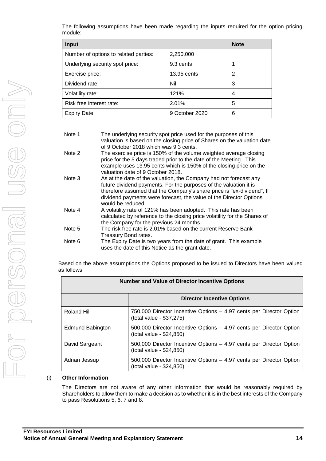The following assumptions have been made regarding the inputs required for the option pricing module:

| Input                                 |                | <b>Note</b> |
|---------------------------------------|----------------|-------------|
| Number of options to related parties: | 2,250,000      |             |
| Underlying security spot price:       | 9.3 cents      |             |
| Exercise price:                       | 13.95 cents    | 2           |
| Dividend rate:                        | Nil            | 3           |
| Volatility rate:                      | 121%           | 4           |
| Risk free interest rate:              | 2.01%          | 5           |
| Expiry Date:                          | 9 October 2020 | 6           |

| Note 1 | The underlying security spot price used for the purposes of this          |
|--------|---------------------------------------------------------------------------|
|        | valuation is based on the closing price of Shares on the valuation date   |
|        | of 9 October 2018 which was 9.3 cents.                                    |
| Note 2 | The exercise price is 150% of the volume weighted average closing         |
|        | price for the 5 days traded prior to the date of the Meeting. This        |
|        | example uses 13.95 cents which is 150% of the closing price on the        |
|        | valuation date of 9 October 2018.                                         |
| Note 3 | As at the date of the valuation, the Company had not forecast any         |
|        | future dividend payments. For the purposes of the valuation it is         |
|        | therefore assumed that the Company's share price is "ex-dividend", If     |
|        | dividend payments were forecast, the value of the Director Options        |
|        | would be reduced.                                                         |
| Note 4 | A volatility rate of 121% has been adopted. This rate has been            |
|        | calculated by reference to the closing price volatility for the Shares of |
|        | the Company for the previous 24 months.                                   |
| Note 5 | The risk free rate is 2.01% based on the current Reserve Bank             |
|        | Treasury Bond rates.                                                      |
| Note 6 | The Expiry Date is two years from the date of grant. This example         |
|        | uses the date of this Notice as the grant date.                           |
|        |                                                                           |

Based on the above assumptions the Options proposed to be issued to Directors have been valued as follows:

| <b>Number and Value of Director Incentive Options</b> |                                                                                                 |  |
|-------------------------------------------------------|-------------------------------------------------------------------------------------------------|--|
|                                                       | <b>Director Incentive Options</b>                                                               |  |
| Roland Hill                                           | 750,000 Director Incentive Options - 4.97 cents per Director Option<br>(total value - \$37,275) |  |
| Edmund Babington                                      | 500,000 Director Incentive Options – 4.97 cents per Director Option<br>(total value - \$24,850) |  |
| David Sargeant                                        | 500,000 Director Incentive Options - 4.97 cents per Director Option<br>(total value - \$24,850) |  |
| Adrian Jessup                                         | 500,000 Director Incentive Options – 4.97 cents per Director Option<br>(total value - \$24,850) |  |

#### (i) **Other Information**

The Directors are not aware of any other information that would be reasonably required by Shareholders to allow them to make a decision as to whether it is in the best interests of the Company to pass Resolutions 5, 6, 7 and 8.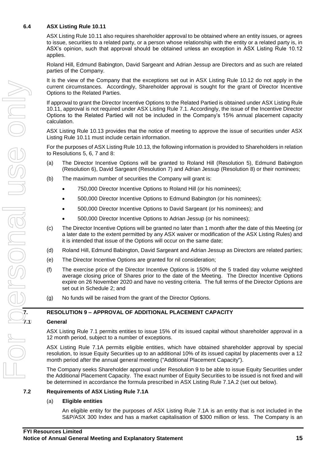#### **6.4 ASX Listing Rule 10.11**

ASX Listing Rule 10.11 also requires shareholder approval to be obtained where an entity issues, or agrees to issue, securities to a related party, or a person whose relationship with the entity or a related party is, in ASX's opinion, such that approval should be obtained unless an exception in ASX Listing Rule 10.12 applies.

Roland Hill, Edmund Babington, David Sargeant and Adrian Jessup are Directors and as such are related parties of the Company.

It is the view of the Company that the exceptions set out in ASX Listing Rule 10.12 do not apply in the current circumstances. Accordingly, Shareholder approval is sought for the grant of Director Incentive Options to the Related Parties.

If approval to grant the Director Incentive Options to the Related Partied is obtained under ASX Listing Rule 10.11, approval is not required under ASX Listing Rule 7.1. Accordingly, the issue of the Incentive Director Options to the Related Partied will not be included in the Company's 15% annual placement capacity calculation.

ASX Listing Rule 10.13 provides that the notice of meeting to approve the issue of securities under ASX Listing Rule 10.11 must include certain information.

For the purposes of ASX Listing Rule 10.13, the following information is provided to Shareholders in relation to Resolutions 5, 6, 7 and 8:

- (a) The Director Incentive Options will be granted to Roland Hill (Resolution 5), Edmund Babington (Resolution 6), David Sargeant (Resolution 7) and Adrian Jessup (Resolution 8) or their nominees;
- (b) The maximum number of securities the Company will grant is:
	- 750,000 Director Incentive Options to Roland Hill (or his nominees);
	- 500,000 Director Incentive Options to Edmund Babington (or his nominees);
	- 500,000 Director Incentive Options to David Sargeant (or his nominees); and
	- 500,000 Director Incentive Options to Adrian Jessup (or his nominees);
- (c) The Director Incentive Options will be granted no later than 1 month after the date of this Meeting (or a later date to the extent permitted by any ASX waiver or modification of the ASX Listing Rules) and it is intended that issue of the Options will occur on the same date;
- (d) Roland Hill, Edmund Babington, David Sargeant and Adrian Jessup as Directors are related parties;
- (e) The Director Incentive Options are granted for nil consideration;
- (f) The exercise price of the Director Incentive Options is 150% of the 5 traded day volume weighted average closing price of Shares prior to the date of the Meeting. The Director Incentive Options expire on 26 November 2020 and have no vesting criteria. The full terms of the Director Options are set out in Schedule 2; and
- (g) No funds will be raised from the grant of the Director Options.

#### **7. RESOLUTION 9 – APPROVAL OF ADDITIONAL PLACEMENT CAPACITY**

#### **7.1 General**

ASX Listing Rule 7.1 permits entities to issue 15% of its issued capital without shareholder approval in a 12 month period, subject to a number of exceptions.

ASX Listing Rule 7.1A permits eligible entities, which have obtained shareholder approval by special resolution, to issue Equity Securities up to an additional 10% of its issued capital by placements over a 12 month period after the annual general meeting ("Additional Placement Capacity").

The Company seeks Shareholder approval under Resolution 9 to be able to issue Equity Securities under the Additional Placement Capacity. The exact number of Equity Securities to be issued is not fixed and will be determined in accordance the formula prescribed in ASX Listing Rule 7.1A.2 (set out below).

#### **7.2 Requirements of ASX Listing Rule 7.1A**

#### (a) **Eligible entities**

An eligible entity for the purposes of ASX Listing Rule 7.1A is an entity that is not included in the S&P/ASX 300 Index and has a market capitalisation of \$300 million or less. The Company is an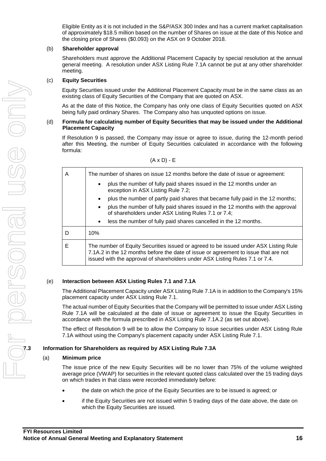Eligible Entity as it is not included in the S&P/ASX 300 Index and has a current market capitalisation of approximately \$18.5 million based on the number of Shares on issue at the date of this Notice and the closing price of Shares (\$0.093) on the ASX on 9 October 2018.

#### (b) **Shareholder approval**

Shareholders must approve the Additional Placement Capacity by special resolution at the annual general meeting. A resolution under ASX Listing Rule 7.1A cannot be put at any other shareholder meeting.

#### (c) **Equity Securities**

Equity Securities issued under the Additional Placement Capacity must be in the same class as an existing class of Equity Securities of the Company that are quoted on ASX.

As at the date of this Notice, the Company has only one class of Equity Securities quoted on ASX being fully paid ordinary Shares. The Company also has unquoted options on issue.

#### (d) **Formula for calculating number of Equity Securities that may be issued under the Additional Placement Capacity**

If Resolution 9 is passed, the Company may issue or agree to issue, during the 12-month period after this Meeting, the number of Equity Securities calculated in accordance with the following formula:

| ٦ |  |  |  |
|---|--|--|--|
|---|--|--|--|

| A | The number of shares on issue 12 months before the date of issue or agreement:                                                                                                                                                                              |  |  |
|---|-------------------------------------------------------------------------------------------------------------------------------------------------------------------------------------------------------------------------------------------------------------|--|--|
|   | plus the number of fully paid shares issued in the 12 months under an<br>$\bullet$<br>exception in ASX Listing Rule 7.2;                                                                                                                                    |  |  |
|   | plus the number of partly paid shares that became fully paid in the 12 months;<br>$\bullet$                                                                                                                                                                 |  |  |
|   | plus the number of fully paid shares issued in the 12 months with the approval<br>$\bullet$<br>of shareholders under ASX Listing Rules 7.1 or 7.4;                                                                                                          |  |  |
|   | less the number of fully paid shares cancelled in the 12 months.<br>$\bullet$                                                                                                                                                                               |  |  |
| D | 10%                                                                                                                                                                                                                                                         |  |  |
| Е | The number of Equity Securities issued or agreed to be issued under ASX Listing Rule<br>7.1A.2 in the 12 months before the date of issue or agreement to issue that are not<br>issued with the approval of shareholders under ASX Listing Rules 7.1 or 7.4. |  |  |

#### (e) **Interaction between ASX Listing Rules 7.1 and 7.1A**

The Additional Placement Capacity under ASX Listing Rule 7.1A is in addition to the Company's 15% placement capacity under ASX Listing Rule 7.1.

The actual number of Equity Securities that the Company will be permitted to issue under ASX Listing Rule 7.1A will be calculated at the date of issue or agreement to issue the Equity Securities in accordance with the formula prescribed in ASX Listing Rule 7.1A.2 (as set out above).

The effect of Resolution 9 will be to allow the Company to issue securities under ASX Listing Rule 7.1A without using the Company's placement capacity under ASX Listing Rule 7.1.

#### **7.3 Information for Shareholders as required by ASX Listing Rule 7.3A**

#### (a) **Minimum price**

The issue price of the new Equity Securities will be no lower than 75% of the volume weighted average price (VWAP) for securities in the relevant quoted class calculated over the 15 trading days on which trades in that class were recorded immediately before:

- the date on which the price of the Equity Securities are to be issued is agreed; or
- if the Equity Securities are not issued within 5 trading days of the date above, the date on which the Equity Securities are issued.

JSS ON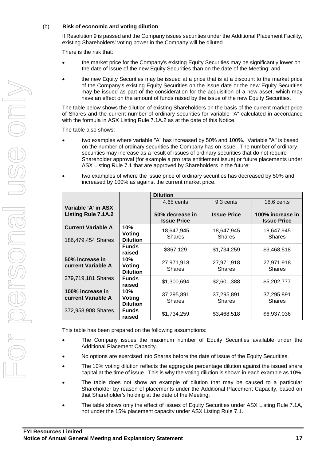### (b) **Risk of economic and voting dilution**

If Resolution 9 is passed and the Company issues securities under the Additional Placement Facility, existing Shareholders' voting power in the Company will be diluted.

There is the risk that:

- the market price for the Company's existing Equity Securities may be significantly lower on the date of issue of the new Equity Securities than on the date of the Meeting; and
- the new Equity Securities may be issued at a price that is at a discount to the market price of the Company's existing Equity Securities on the issue date or the new Equity Securities may be issued as part of the consideration for the acquisition of a new asset, which may have an effect on the amount of funds raised by the issue of the new Equity Securities.

The table below shows the dilution of existing Shareholders on the basis of the current market price of Shares and the current number of ordinary securities for variable "A" calculated in accordance with the formula in ASX Listing Rule 7.1A.2 as at the date of this Notice.

The table also shows:

- two examples where variable "A" has increased by 50% and 100%. Variable "A" is based on the number of ordinary securities the Company has on issue. The number of ordinary securities may increase as a result of issues of ordinary securities that do not require Shareholder approval (for example a pro rata entitlement issue) or future placements under ASX Listing Rule 7.1 that are approved by Shareholders in the future;
- two examples of where the issue price of ordinary securities has decreased by 50% and increased by 100% as against the current market price.

|                                                 |                                         | <b>Dilution</b>                       |                             |                                        |
|-------------------------------------------------|-----------------------------------------|---------------------------------------|-----------------------------|----------------------------------------|
|                                                 |                                         | 4.65 cents                            | 9.3 cents                   | 18.6 cents                             |
| Variable 'A' in ASX                             |                                         |                                       |                             |                                        |
| Listing Rule 7.1A.2                             |                                         | 50% decrease in<br><b>Issue Price</b> | <b>Issue Price</b>          | 100% increase in<br><b>Issue Price</b> |
| <b>Current Variable A</b><br>186,479,454 Shares | 10%<br>Voting<br><b>Dilution</b>        | 18,647,945<br><b>Shares</b>           | 18,647,945<br><b>Shares</b> | 18,647,945<br><b>Shares</b>            |
|                                                 | <b>Funds</b><br>raised                  | \$867,129                             | \$1,734,259                 | \$3,468,518                            |
| 50% increase in<br>current Variable A           | 10%<br><b>Voting</b><br><b>Dilution</b> | 27,971,918<br><b>Shares</b>           | 27,971,918<br><b>Shares</b> | 27,971,918<br><b>Shares</b>            |
| 279,719,181 Shares                              | <b>Funds</b><br>raised                  | \$1,300,694                           | \$2,601,388                 | \$5,202,777                            |
| 100% increase in<br>current Variable A          | 10%<br>Voting<br><b>Dilution</b>        | 37,295,891<br><b>Shares</b>           | 37,295,891<br><b>Shares</b> | 37,295,891<br><b>Shares</b>            |
| 372,958,908 Shares                              | <b>Funds</b><br>raised                  | \$1,734,259                           | \$3,468,518                 | \$6,937,036                            |

This table has been prepared on the following assumptions:

- The Company issues the maximum number of Equity Securities available under the Additional Placement Capacity.
- No options are exercised into Shares before the date of issue of the Equity Securities.
- The 10% voting dilution reflects the aggregate percentage dilution against the issued share capital at the time of issue. This is why the voting dilution is shown in each example as 10%.
- The table does not show an example of dilution that may be caused to a particular Shareholder by reason of placements under the Additional Placement Capacity, based on that Shareholder's holding at the date of the Meeting.
- The table shows only the effect of issues of Equity Securities under ASX Listing Rule 7.1A, not under the 15% placement capacity under ASX Listing Rule 7.1.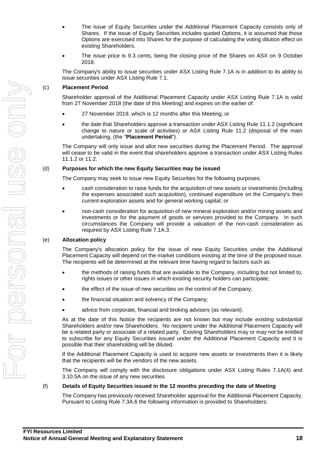- The issue of Equity Securities under the Additional Placement Capacity consists only of Shares. If the issue of Equity Securities includes quoted Options, it is assumed that those Options are exercised into Shares for the purpose of calculating the voting dilution effect on existing Shareholders.
- The issue price is 9.3 cents, being the closing price of the Shares on ASX on 9 October 2018.

The Company's ability to issue securities under ASX Listing Rule 7.1A is in addition to its ability to issue securities under ASX Listing Rule 7.1.

#### (c) **Placement Period**

Shareholder approval of the Additional Placement Capacity under ASX Listing Rule 7.1A is valid from 27 November 2018 (the date of this Meeting) and expires on the earlier of:

- 27 November 2019, which is 12 months after this Meeting; or
- the date that Shareholders approve a transaction under ASX Listing Rule 11.1.2 (significant change to nature or scale of activities) or ASX Listing Rule 11.2 (disposal of the main undertaking, (the "**Placement Period**").

The Company will only issue and allot new securities during the Placement Period. The approval will cease to be valid in the event that shareholders approve a transaction under ASX Listing Rules 11.1.2 or 11.2.

#### (d) **Purposes for which the new Equity Securities may be issued**

The Company may seek to issue new Equity Securities for the following purposes:

- cash consideration to raise funds for the acquisition of new assets or investments (including the expenses associated such acquisition), continued expenditure on the Company's then current exploration assets and for general working capital; or
- non-cash consideration for acquisition of new mineral exploration and/or mining assets and investments or for the payment of goods or services provided to the Company. In such circumstances the Company will provide a valuation of the non-cash consideration as required by ASX Listing Rule 7.1A.3.

#### (e) **Allocation policy**

The Company's allocation policy for the issue of new Equity Securities under the Additional Placement Capacity will depend on the market conditions existing at the time of the proposed issue. The recipients will be determined at the relevant time having regard to factors such as:

- the methods of raising funds that are available to the Company, including but not limited to, rights issues or other issues in which existing security holders can participate;
- the effect of the issue of new securities on the control of the Company;
- the financial situation and solvency of the Company;
- advice from corporate, financial and broking advisers (as relevant).

As at the date of this Notice the recipients are not known but may include existing substantial Shareholders and/or new Shareholders. No recipient under the Additional Placement Capacity will be a related party or associate of a related party. Existing Shareholders may or may not be entitled to subscribe for any Equity Securities issued under the Additional Placement Capacity and it is possible that their shareholding will be diluted.

If the Additional Placement Capacity is used to acquire new assets or investments then it is likely that the recipients will be the vendors of the new assets.

The Company will comply with the disclosure obligations under ASX Listing Rules 7.1A(4) and 3.10.5A on the issue of any new securities.

#### (f) **Details of Equity Securities issued in the 12 months preceding the date of Meeting**

The Company has previously received Shareholder approval for the Additional Placement Capacity. Pursuant to Listing Rule 7.3A.6 the following information is provided to Shareholders: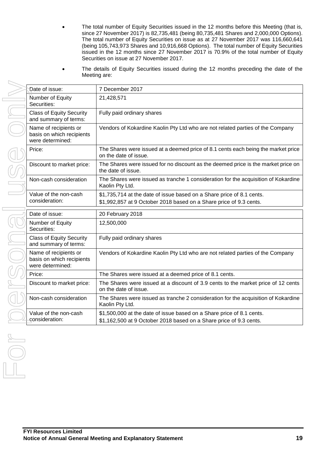- The total number of Equity Securities issued in the 12 months before this Meeting (that is, since 27 November 2017) is 82,735,481 (being 80,735,481 Shares and 2,000,000 Options). The total number of Equity Securities on issue as at 27 November 2017 was 116,660,641 (being 105,743,973 Shares and 10,916,668 Options). The total number of Equity Securities issued in the 12 months since 27 November 2017 is 70.9% of the total number of Equity Securities on issue at 27 November 2017.
- The details of Equity Securities issued during the 12 months preceding the date of the Meeting are:

|        | Date of issue:                                                         | 7 December 2017                                                                                                                             |
|--------|------------------------------------------------------------------------|---------------------------------------------------------------------------------------------------------------------------------------------|
|        | Number of Equity<br>Securities:                                        | 21,428,571                                                                                                                                  |
|        | <b>Class of Equity Security</b><br>and summary of terms:               | Fully paid ordinary shares                                                                                                                  |
|        | Name of recipients or<br>basis on which recipients<br>were determined: | Vendors of Kokardine Kaolin Pty Ltd who are not related parties of the Company                                                              |
| Price: |                                                                        | The Shares were issued at a deemed price of 8.1 cents each being the market price<br>on the date of issue.                                  |
|        | Discount to market price:                                              | The Shares were issued for no discount as the deemed price is the market price on<br>the date of issue.                                     |
|        | Non-cash consideration                                                 | The Shares were issued as tranche 1 consideration for the acquisition of Kokardine<br>Kaolin Pty Ltd.                                       |
|        | Value of the non-cash<br>consideration:                                | \$1,735,714 at the date of issue based on a Share price of 8.1 cents.<br>\$1,992,857 at 9 October 2018 based on a Share price of 9.3 cents. |
|        |                                                                        |                                                                                                                                             |
|        | Date of issue:                                                         | 20 February 2018                                                                                                                            |
|        | Number of Equity<br>Securities:                                        | 12,500,000                                                                                                                                  |
|        | <b>Class of Equity Security</b><br>and summary of terms:               | Fully paid ordinary shares                                                                                                                  |
|        | Name of recipients or<br>basis on which recipients<br>were determined: | Vendors of Kokardine Kaolin Pty Ltd who are not related parties of the Company                                                              |
| Price: |                                                                        | The Shares were issued at a deemed price of 8.1 cents.                                                                                      |
|        | Discount to market price:                                              | The Shares were issued at a discount of 3.9 cents to the market price of 12 cents<br>on the date of issue.                                  |
|        | Non-cash consideration                                                 | The Shares were issued as tranche 2 consideration for the acquisition of Kokardine<br>Kaolin Pty Ltd.                                       |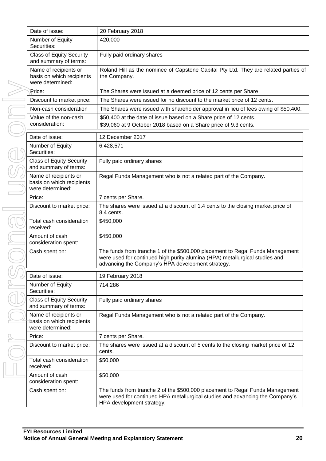| Date of issue:                                                         | 20 February 2018                                                                                                                                                                                                  |
|------------------------------------------------------------------------|-------------------------------------------------------------------------------------------------------------------------------------------------------------------------------------------------------------------|
| Number of Equity<br>Securities:                                        | 420,000                                                                                                                                                                                                           |
| <b>Class of Equity Security</b><br>and summary of terms:               | Fully paid ordinary shares                                                                                                                                                                                        |
| Name of recipients or<br>basis on which recipients<br>were determined: | Roland Hill as the nominee of Capstone Capital Pty Ltd. They are related parties of<br>the Company.                                                                                                               |
| Price:                                                                 | The Shares were issued at a deemed price of 12 cents per Share                                                                                                                                                    |
| Discount to market price:                                              | The Shares were issued for no discount to the market price of 12 cents.                                                                                                                                           |
| Non-cash consideration                                                 | The Shares were issued with shareholder approval in lieu of fees owing of \$50,400.                                                                                                                               |
| Value of the non-cash<br>consideration:                                | \$50,400 at the date of issue based on a Share price of 12 cents.<br>\$39,060 at 9 October 2018 based on a Share price of 9.3 cents.                                                                              |
| Date of issue:                                                         | 12 December 2017                                                                                                                                                                                                  |
| Number of Equity                                                       | 6,428,571                                                                                                                                                                                                         |
| Securities:                                                            |                                                                                                                                                                                                                   |
| <b>Class of Equity Security</b><br>and summary of terms:               | Fully paid ordinary shares                                                                                                                                                                                        |
| Name of recipients or<br>basis on which recipients<br>were determined: | Regal Funds Management who is not a related part of the Company.                                                                                                                                                  |
| Price:                                                                 | 7 cents per Share.                                                                                                                                                                                                |
| Discount to market price:                                              | The shares were issued at a discount of 1.4 cents to the closing market price of<br>8.4 cents.                                                                                                                    |
| Total cash consideration<br>received:                                  | \$450,000                                                                                                                                                                                                         |
| Amount of cash<br>consideration spent:                                 | \$450,000                                                                                                                                                                                                         |
| Cash spent on:                                                         | The funds from tranche 1 of the \$500,000 placement to Regal Funds Management<br>were used for continued high purity alumina (HPA) metallurgical studies and<br>advancing the Company's HPA development strategy. |
| Date of issue:                                                         | 19 February 2018                                                                                                                                                                                                  |
| Number of Equity<br>Securities:                                        | 714,286                                                                                                                                                                                                           |
| <b>Class of Equity Security</b><br>and summary of terms:               | Fully paid ordinary shares                                                                                                                                                                                        |
| Name of recipients or<br>basis on which recipients<br>were determined: | Regal Funds Management who is not a related part of the Company.                                                                                                                                                  |
| Price:                                                                 | 7 cents per Share.                                                                                                                                                                                                |
| Discount to market price:                                              | The shares were issued at a discount of 5 cents to the closing market price of 12<br>cents.                                                                                                                       |
| Total cash consideration<br>received:                                  | \$50,000                                                                                                                                                                                                          |
| Amount of cash<br>consideration spent:                                 | \$50,000                                                                                                                                                                                                          |
| Cash spent on:                                                         | The funds from tranche 2 of the \$500,000 placement to Regal Funds Management<br>were used for continued HPA metallurgical studies and advancing the Company's<br>HPA development strategy.                       |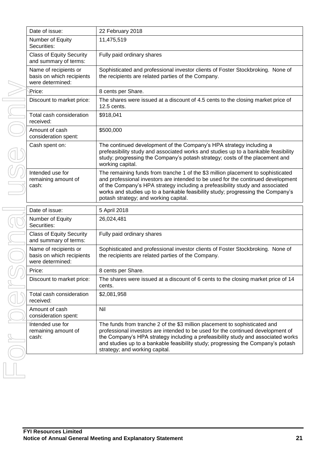| Date of issue:                                                         | 22 February 2018                                                                                                                                                                                                                                                                                                                                                                  |
|------------------------------------------------------------------------|-----------------------------------------------------------------------------------------------------------------------------------------------------------------------------------------------------------------------------------------------------------------------------------------------------------------------------------------------------------------------------------|
| Number of Equity<br>Securities:                                        | 11,475,519                                                                                                                                                                                                                                                                                                                                                                        |
| <b>Class of Equity Security</b><br>and summary of terms:               | Fully paid ordinary shares                                                                                                                                                                                                                                                                                                                                                        |
| Name of recipients or<br>basis on which recipients<br>were determined: | Sophisticated and professional investor clients of Foster Stockbroking. None of<br>the recipients are related parties of the Company.                                                                                                                                                                                                                                             |
| Price:                                                                 | 8 cents per Share.                                                                                                                                                                                                                                                                                                                                                                |
| Discount to market price:                                              | The shares were issued at a discount of 4.5 cents to the closing market price of<br>12.5 cents.                                                                                                                                                                                                                                                                                   |
| Total cash consideration<br>received:                                  | \$918,041                                                                                                                                                                                                                                                                                                                                                                         |
| Amount of cash<br>consideration spent:                                 | \$500,000                                                                                                                                                                                                                                                                                                                                                                         |
| Cash spent on:                                                         | The continued development of the Company's HPA strategy including a<br>prefeasibility study and associated works and studies up to a bankable feasibility<br>study; progressing the Company's potash strategy; costs of the placement and<br>working capital.                                                                                                                     |
| Intended use for<br>remaining amount of<br>cash:                       | The remaining funds from tranche 1 of the \$3 million placement to sophisticated<br>and professional investors are intended to be used for the continued development<br>of the Company's HPA strategy including a prefeasibility study and associated<br>works and studies up to a bankable feasibility study; progressing the Company's<br>potash strategy; and working capital. |
| Date of issue:                                                         | 5 April 2018                                                                                                                                                                                                                                                                                                                                                                      |
| Number of Equity<br>Securities:                                        | 26,024,481                                                                                                                                                                                                                                                                                                                                                                        |
| <b>Class of Equity Security</b><br>and summary of terms:               | Fully paid ordinary shares                                                                                                                                                                                                                                                                                                                                                        |
| Name of recipients or<br>basis on which recipients<br>were determined: | Sophisticated and professional investor clients of Foster Stockbroking. None of<br>the recipients are related parties of the Company.                                                                                                                                                                                                                                             |
| Price:                                                                 | 8 cents per Share.                                                                                                                                                                                                                                                                                                                                                                |
| Discount to market price:                                              | The shares were issued at a discount of 6 cents to the closing market price of 14<br>cents.                                                                                                                                                                                                                                                                                       |
| Total cash consideration<br>received:                                  | \$2,081,958                                                                                                                                                                                                                                                                                                                                                                       |
| Amount of cash<br>consideration spent:                                 | Nil                                                                                                                                                                                                                                                                                                                                                                               |
| Thtended use for<br>remaining amount of<br>cash:                       | The funds from tranche 2 of the \$3 million placement to sophisticated and<br>professional investors are intended to be used for the continued development of<br>the Company's HPA strategy including a prefeasibility study and associated works<br>and studies up to a bankable feasibility study; progressing the Company's potash<br>strategy; and working capital.           |
|                                                                        |                                                                                                                                                                                                                                                                                                                                                                                   |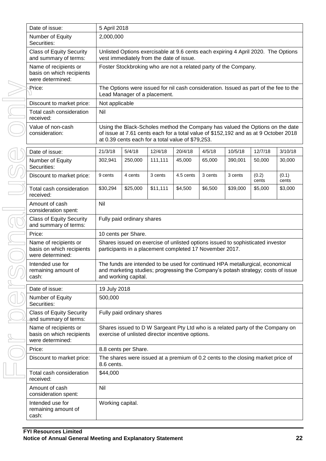| Date of issue:                                                         | 5 April 2018                                                                                                                                                                                                              |                              |          |           |         |                                                                                      |                |                |
|------------------------------------------------------------------------|---------------------------------------------------------------------------------------------------------------------------------------------------------------------------------------------------------------------------|------------------------------|----------|-----------|---------|--------------------------------------------------------------------------------------|----------------|----------------|
| Number of Equity<br>Securities:                                        | 2,000,000                                                                                                                                                                                                                 |                              |          |           |         |                                                                                      |                |                |
| <b>Class of Equity Security</b><br>and summary of terms:               | Unlisted Options exercisable at 9.6 cents each expiring 4 April 2020. The Options<br>vest immediately from the date of issue.                                                                                             |                              |          |           |         |                                                                                      |                |                |
| Name of recipients or<br>basis on which recipients<br>were determined: | Foster Stockbroking who are not a related party of the Company.                                                                                                                                                           |                              |          |           |         |                                                                                      |                |                |
| Price:                                                                 |                                                                                                                                                                                                                           | Lead Manager of a placement. |          |           |         | The Options were issued for nil cash consideration. Issued as part of the fee to the |                |                |
| Discount to market price:                                              | Not applicable                                                                                                                                                                                                            |                              |          |           |         |                                                                                      |                |                |
| Total cash consideration<br>received:                                  | Nil                                                                                                                                                                                                                       |                              |          |           |         |                                                                                      |                |                |
| Value of non-cash<br>consideration:                                    | Using the Black-Scholes method the Company has valued the Options on the date<br>of issue at 7.61 cents each for a total value of \$152,192 and as at 9 October 2018<br>at 0.39 cents each for a total value of \$79,253. |                              |          |           |         |                                                                                      |                |                |
| Date of issue:                                                         | 21/3/18                                                                                                                                                                                                                   | 5/4/18                       | 12/4/18  | 20/4/18   | 4/5/18  | 10/5/18                                                                              | 12/7/18        | 3/10/18        |
| Number of Equity<br>Securities:                                        | 302,941                                                                                                                                                                                                                   | 250,000                      | 111,111  | 45,000    | 65,000  | 390,001                                                                              | 50,000         | 30,000         |
| Discount to market price:                                              | 9 cents                                                                                                                                                                                                                   | 4 cents                      | 3 cents  | 4.5 cents | 3 cents | 3 cents                                                                              | (0.2)<br>cents | (0.1)<br>cents |
| Total cash consideration<br>received:                                  | \$30,294                                                                                                                                                                                                                  | \$25,000                     | \$11,111 | \$4,500   | \$6,500 | \$39,000                                                                             | \$5,000        | \$3,000        |
| Amount of cash<br>consideration spent:                                 | Nil                                                                                                                                                                                                                       |                              |          |           |         |                                                                                      |                |                |
| <b>Class of Equity Security</b><br>and summary of terms:               | Fully paid ordinary shares                                                                                                                                                                                                |                              |          |           |         |                                                                                      |                |                |
| Price:                                                                 |                                                                                                                                                                                                                           | 10 cents per Share.          |          |           |         |                                                                                      |                |                |
| Name of recipients or<br>basis on which recipients<br>were determined: | Shares issued on exercise of unlisted options issued to sophisticated investor<br>participants in a placement completed 17 November 2017.                                                                                 |                              |          |           |         |                                                                                      |                |                |
| Intended use for<br>remaining amount of<br>cash:                       | The funds are intended to be used for continued HPA metallurgical, economical<br>and marketing studies; progressing the Company's potash strategy; costs of issue<br>and working capital.                                 |                              |          |           |         |                                                                                      |                |                |
| Date of issue:                                                         | 19 July 2018                                                                                                                                                                                                              |                              |          |           |         |                                                                                      |                |                |
| Number of Equity<br>Securities:                                        | 500,000                                                                                                                                                                                                                   |                              |          |           |         |                                                                                      |                |                |
| <b>Class of Equity Security</b><br>and summary of terms:               | Fully paid ordinary shares                                                                                                                                                                                                |                              |          |           |         |                                                                                      |                |                |
| Name of recipients or<br>basis on which recipients<br>were determined: | Shares issued to D W Sargeant Pty Ltd who is a related party of the Company on<br>exercise of unlisted director incentive options.                                                                                        |                              |          |           |         |                                                                                      |                |                |
| Price:                                                                 | 8.8 cents per Share.                                                                                                                                                                                                      |                              |          |           |         |                                                                                      |                |                |
| Discount to market price:                                              | The shares were issued at a premium of 0.2 cents to the closing market price of<br>8.6 cents.                                                                                                                             |                              |          |           |         |                                                                                      |                |                |
| Total cash consideration<br>received:                                  | \$44,000                                                                                                                                                                                                                  |                              |          |           |         |                                                                                      |                |                |
| Amount of cash<br>consideration spent:                                 | Nil                                                                                                                                                                                                                       |                              |          |           |         |                                                                                      |                |                |
| Intended use for<br>remaining amount of<br>cash:                       | Working capital.                                                                                                                                                                                                          |                              |          |           |         |                                                                                      |                |                |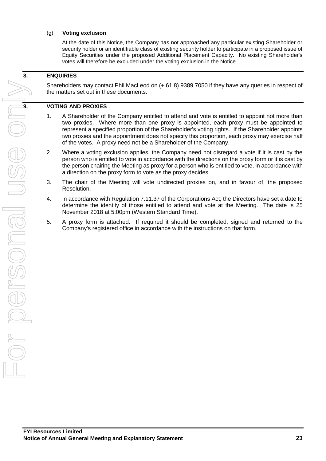### (g) **Voting exclusion**

At the date of this Notice, the Company has not approached any particular existing Shareholder or security holder or an identifiable class of existing security holder to participate in a proposed issue of Equity Securities under the proposed Additional Placement Capacity. No existing Shareholder's votes will therefore be excluded under the voting exclusion in the Notice.

### **8. ENQUIRIES**

Shareholders may contact Phil MacLeod on (+ 61 8) 9389 7050 if they have any queries in respect of the matters set out in these documents.

- 1. A Shareholder of the Company entitled to attend and vote is entitled to appoint not more than two proxies. Where more than one proxy is appointed, each proxy must be appointed to represent a specified proportion of the Shareholder's voting rights. If the Shareholder appoints two proxies and the appointment does not specify this proportion, each proxy may exercise half of the votes. A proxy need not be a Shareholder of the Company.
- 2. Where a voting exclusion applies, the Company need not disregard a vote if it is cast by the person who is entitled to vote in accordance with the directions on the proxy form or it is cast by the person chairing the Meeting as proxy for a person who is entitled to vote, in accordance with a direction on the proxy form to vote as the proxy decides.
- 3. The chair of the Meeting will vote undirected proxies on, and in favour of, the proposed Resolution.
- 4. In accordance with Regulation 7.11.37 of the Corporations Act, the Directors have set a date to determine the identity of those entitled to attend and vote at the Meeting. The date is 25 November 2018 at 5:00pm (Western Standard Time).
- 5. A proxy form is attached. If required it should be completed, signed and returned to the Company's registered office in accordance with the instructions on that form.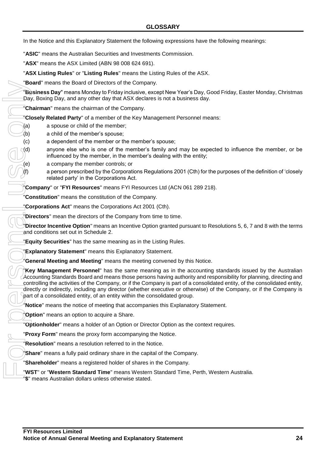In the Notice and this Explanatory Statement the following expressions have the following meanings:

"**ASIC**" means the Australian Securities and Investments Commission.

"**ASX**" means the ASX Limited (ABN 98 008 624 691).

"**ASX Listing Rules**" or "**Listing Rules**" means the Listing Rules of the ASX.

"**Board**" means the Board of Directors of the Company.

"**Business Day**" means Monday to Friday inclusive, except New Year's Day, Good Friday, Easter Monday, Christmas Day, Boxing Day, and any other day that ASX declares is not a business day.

"**Chairman**" means the chairman of the Company.

"**Closely Related Party**" of a member of the Key Management Personnel means:

- (a) a spouse or child of the member;
- (b) a child of the member's spouse;
- (c) a dependent of the member or the member's spouse;
- (d) anyone else who is one of the member's family and may be expected to influence the member, or be influenced by the member, in the member's dealing with the entity;
- (e) a company the member controls; or
	- a person prescribed by the Corporations Regulations 2001 (Cth) for the purposes of the definition of 'closely related party' in the Corporations Act.

"**Company**" or "**FYI Resources**" means FYI Resources Ltd (ACN 061 289 218).

"**Constitution**" means the constitution of the Company.

"**Corporations Act**" means the Corporations Act 2001 (Cth).

"**Directors**" mean the directors of the Company from time to time.

"**Director Incentive Option**" means an Incentive Option granted pursuant to Resolutions 5, 6, 7 and 8 with the terms and conditions set out in Schedule 2.

"**Equity Securities**" has the same meaning as in the Listing Rules.

**Explanatory Statement**" means this Explanatory Statement.

"**General Meeting and Meeting**" means the meeting convened by this Notice.

"**Key Management Personnel**" has the same meaning as in the accounting standards issued by the Australian Accounting Standards Board and means those persons having authority and responsibility for planning, directing and controlling the activities of the Company, or if the Company is part of a consolidated entity, of the consolidated entity, directly or indirectly, including any director (whether executive or otherwise) of the Company, or if the Company is part of a consolidated entity, of an entity within the consolidated group. **"Busines Day"** means Monday to Friedry interests of the Company<br>
"Day, Boxing Day, and any other day that ASX declare<br>
"Chairman" means the chairman of the Company.<br>
"Closely Related Party" of a member of the Key Mar<br>
(b)

"**Notice**" means the notice of meeting that accompanies this Explanatory Statement.

"**Option**" means an option to acquire a Share.

"**Optionholder**" means a holder of an Option or Director Option as the context requires.

"**Proxy Form**" means the proxy form accompanying the Notice.

"**Resolution**" means a resolution referred to in the Notice.

"**Share**" means a fully paid ordinary share in the capital of the Company.

"**Shareholder**" means a registered holder of shares in the Company.

"**WST**" or "**Western Standard Time**" means Western Standard Time, Perth, Western Australia.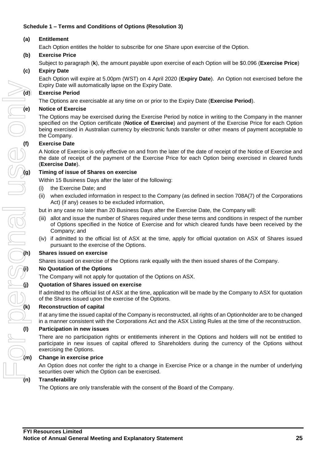# **Schedule 1 – Terms and Conditions of Options (Resolution 3)**

# **(a) Entitlement**

Each Option entitles the holder to subscribe for one Share upon exercise of the Option.

# **(b) Exercise Price**

Subject to paragraph (**k**), the amount payable upon exercise of each Option will be \$0.096 (**Exercise Price**)

# **(c) Expiry Date**

Each Option will expire at 5.00pm (WST) on 4 April 2020 (**Expiry Date**). An Option not exercised before the Expiry Date will automatically lapse on the Expiry Date.

#### **(d) Exercise Period**

The Options are exercisable at any time on or prior to the Expiry Date (**Exercise Period**).

#### **(e) Notice of Exercise**

The Options may be exercised during the Exercise Period by notice in writing to the Company in the manner specified on the Option certificate (**Notice of Exercise**) and payment of the Exercise Price for each Option being exercised in Australian currency by electronic funds transfer or other means of payment acceptable to the Company.

### **(f) Exercise Date**

A Notice of Exercise is only effective on and from the later of the date of receipt of the Notice of Exercise and the date of receipt of the payment of the Exercise Price for each Option being exercised in cleared funds (**Exercise Date**).

#### **(g) Timing of issue of Shares on exercise**

Within 15 Business Days after the later of the following:

- (i) the Exercise Date; and
- (ii) when excluded information in respect to the Company (as defined in section 708A(7) of the Corporations Act) (if any) ceases to be excluded information,
- but in any case no later than 20 Business Days after the Exercise Date, the Company will:
- (iii) allot and issue the number of Shares required under these terms and conditions in respect of the number of Options specified in the Notice of Exercise and for which cleared funds have been received by the Company; and
- (iv) if admitted to the official list of ASX at the time, apply for official quotation on ASX of Shares issued pursuant to the exercise of the Options.

#### **(h) Shares issued on exercise**

Shares issued on exercise of the Options rank equally with the then issued shares of the Company.

#### **(i) No Quotation of the Options**

The Company will not apply for quotation of the Options on ASX.

#### **(j) Quotation of Shares issued on exercise**

If admitted to the official list of ASX at the time, application will be made by the Company to ASX for quotation of the Shares issued upon the exercise of the Options.

#### **(k) Reconstruction of capital**

If at any time the issued capital of the Company is reconstructed, all rights of an Optionholder are to be changed in a manner consistent with the Corporations Act and the ASX Listing Rules at the time of the reconstruction.

#### **(l) Participation in new issues**

There are no participation rights or entitlements inherent in the Options and holders will not be entitled to participate in new issues of capital offered to Shareholders during the currency of the Options without exercising the Options.

#### **(m) Change in exercise price**

An Option does not confer the right to a change in Exercise Price or a change in the number of underlying securities over which the Option can be exercised.

The Options are only transferable with the consent of the Board of the Company.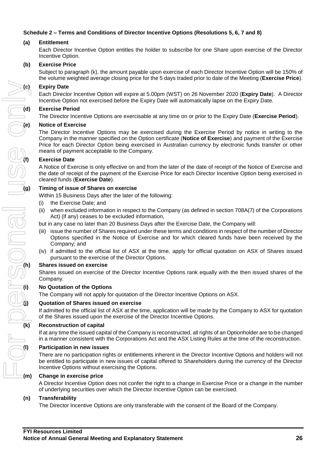# **Schedule 2 – Terms and Conditions of Director Incentive Options (Resolutions 5, 6, 7 and 8)**

#### **(a) Entitlement**

Each Director Incentive Option entitles the holder to subscribe for one Share upon exercise of the Director Incentive Option.

#### **(b) Exercise Price**

Subject to paragraph (k), the amount payable upon exercise of each Director Incentive Option will be 150% of the volume weighted average closing price for the 5 days traded prior to date of the Meeting (**Exercise Price**).

#### **(c) Expiry Date**

Each Director Incentive Option will expire at 5.00pm (WST) on 26 November 2020 (**Expiry Date**). A Director Incentive Option not exercised before the Expiry Date will automatically lapse on the Expiry Date.

#### **(d) Exercise Period**

The Director Incentive Options are exercisable at any time on or prior to the Expiry Date (**Exercise Period**).

#### **(e) Notice of Exercise**

The Director Incentive Options may be exercised during the Exercise Period by notice in writing to the Company in the manner specified on the Option certificate (**Notice of Exercise**) and payment of the Exercise Price for each Director Option being exercised in Australian currency by electronic funds transfer or other means of payment acceptable to the Company.

#### **(f) Exercise Date**

A Notice of Exercise is only effective on and from the later of the date of receipt of the Notice of Exercise and the date of receipt of the payment of the Exercise Price for each Director Incentive Option being exercised in cleared funds (**Exercise Date**).

#### **(g) Timing of issue of Shares on exercise**

Within 15 Business Days after the later of the following:

- (i) the Exercise Date; and
- (ii) when excluded information in respect to the Company (as defined in section 708A(7) of the Corporations Act) (if any) ceases to be excluded information,
- but in any case no later than 20 Business Days after the Exercise Date, the Company will:
- (iii) issue the number of Shares required under these terms and conditions in respect of the number of Director Options specified in the Notice of Exercise and for which cleared funds have been received by the Company; and
- (iv) if admitted to the official list of ASX at the time, apply for official quotation on ASX of Shares issued pursuant to the exercise of the Director Options.

#### **(h) Shares issued on exercise**

Shares issued on exercise of the Director Incentive Options rank equally with the then issued shares of the Company.

#### **(i) No Quotation of the Options**

The Company will not apply for quotation of the Director Incentive Options on ASX.

#### **(j) Quotation of Shares issued on exercise**

If admitted to the official list of ASX at the time, application will be made by the Company to ASX for quotation of the Shares issued upon the exercise of the Director Incentive Options.

#### **(k) Reconstruction of capital**

If at any time the issued capital of the Company is reconstructed, all rights of an Optionholder are to be changed in a manner consistent with the Corporations Act and the ASX Listing Rules at the time of the reconstruction.

#### **(l) Participation in new issues**

There are no participation rights or entitlements inherent in the Director Incentive Options and holders will not be entitled to participate in new issues of capital offered to Shareholders during the currency of the Director Incentive Options without exercising the Options.

#### **(m) Change in exercise price**

A Director Incentive Option does not confer the right to a change in Exercise Price or a change in the number of underlying securities over which the Director Incentive Option can be exercised.

#### **(n) Transferability**

The Director Incentive Options are only transferable with the consent of the Board of the Company.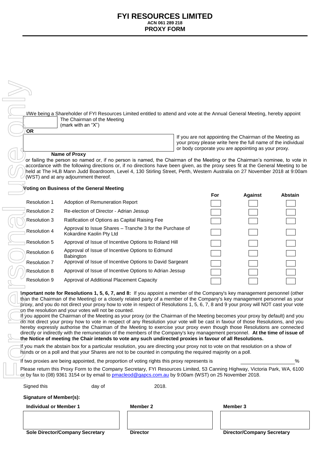| <b>OR</b>                                                                                                                                                                                                                                                                                                                                                                                                                                                                                                                                                                                                                                                                                                                                                                                                                                                                                                                                                                                                                                                                                                    | I/We being a Shareholder of FYI Resources Limited entitled to attend and vote at the Annual General Meeting, hereby appoint<br>The Chairman of the Meeting<br>(mark with an "X")                                                                                                                                                                                                                                                       |                 |                                                                                                                                                                                 |                                   |                |
|--------------------------------------------------------------------------------------------------------------------------------------------------------------------------------------------------------------------------------------------------------------------------------------------------------------------------------------------------------------------------------------------------------------------------------------------------------------------------------------------------------------------------------------------------------------------------------------------------------------------------------------------------------------------------------------------------------------------------------------------------------------------------------------------------------------------------------------------------------------------------------------------------------------------------------------------------------------------------------------------------------------------------------------------------------------------------------------------------------------|----------------------------------------------------------------------------------------------------------------------------------------------------------------------------------------------------------------------------------------------------------------------------------------------------------------------------------------------------------------------------------------------------------------------------------------|-----------------|---------------------------------------------------------------------------------------------------------------------------------------------------------------------------------|-----------------------------------|----------------|
|                                                                                                                                                                                                                                                                                                                                                                                                                                                                                                                                                                                                                                                                                                                                                                                                                                                                                                                                                                                                                                                                                                              | <b>Name of Proxy</b>                                                                                                                                                                                                                                                                                                                                                                                                                   |                 | If you are not appointing the Chairman of the Meeting as<br>your proxy please write here the full name of the individual<br>or body corporate you are appointing as your proxy. |                                   |                |
|                                                                                                                                                                                                                                                                                                                                                                                                                                                                                                                                                                                                                                                                                                                                                                                                                                                                                                                                                                                                                                                                                                              | or failing the person so named or, if no person is named, the Chairman of the Meeting or the Chairman's nominee, to vote in<br>accordance with the following directions or, if no directions have been given, as the proxy sees fit at the General Meeting to be<br>held at The HLB Mann Judd Boardroom, Level 4, 130 Stirling Street, Perth, Western Australia on 27 November 2018 at 9:00am<br>(WST) and at any adjournment thereof. |                 |                                                                                                                                                                                 |                                   |                |
|                                                                                                                                                                                                                                                                                                                                                                                                                                                                                                                                                                                                                                                                                                                                                                                                                                                                                                                                                                                                                                                                                                              | Voting on Business of the General Meeting                                                                                                                                                                                                                                                                                                                                                                                              |                 |                                                                                                                                                                                 |                                   |                |
|                                                                                                                                                                                                                                                                                                                                                                                                                                                                                                                                                                                                                                                                                                                                                                                                                                                                                                                                                                                                                                                                                                              |                                                                                                                                                                                                                                                                                                                                                                                                                                        |                 | For                                                                                                                                                                             | <b>Against</b>                    | <b>Abstain</b> |
| <b>Resolution 1</b>                                                                                                                                                                                                                                                                                                                                                                                                                                                                                                                                                                                                                                                                                                                                                                                                                                                                                                                                                                                                                                                                                          | Adoption of Remuneration Report                                                                                                                                                                                                                                                                                                                                                                                                        |                 |                                                                                                                                                                                 |                                   |                |
| Resolution 2                                                                                                                                                                                                                                                                                                                                                                                                                                                                                                                                                                                                                                                                                                                                                                                                                                                                                                                                                                                                                                                                                                 | Re-election of Director - Adrian Jessup                                                                                                                                                                                                                                                                                                                                                                                                |                 |                                                                                                                                                                                 |                                   |                |
| <b>Resolution 3</b>                                                                                                                                                                                                                                                                                                                                                                                                                                                                                                                                                                                                                                                                                                                                                                                                                                                                                                                                                                                                                                                                                          | Ratification of Options as Capital Raising Fee                                                                                                                                                                                                                                                                                                                                                                                         |                 |                                                                                                                                                                                 |                                   |                |
| Resolution 4                                                                                                                                                                                                                                                                                                                                                                                                                                                                                                                                                                                                                                                                                                                                                                                                                                                                                                                                                                                                                                                                                                 | Approval to Issue Shares - Tranche 3 for the Purchase of<br>Kokardine Kaolin Pty Ltd                                                                                                                                                                                                                                                                                                                                                   |                 |                                                                                                                                                                                 |                                   |                |
| Resolution 5                                                                                                                                                                                                                                                                                                                                                                                                                                                                                                                                                                                                                                                                                                                                                                                                                                                                                                                                                                                                                                                                                                 | Approval of Issue of Incentive Options to Roland Hill                                                                                                                                                                                                                                                                                                                                                                                  |                 |                                                                                                                                                                                 |                                   |                |
| Resolution 6                                                                                                                                                                                                                                                                                                                                                                                                                                                                                                                                                                                                                                                                                                                                                                                                                                                                                                                                                                                                                                                                                                 | Approval of Issue of Incentive Options to Edmund<br>Babington                                                                                                                                                                                                                                                                                                                                                                          |                 |                                                                                                                                                                                 |                                   |                |
| Resolution 7                                                                                                                                                                                                                                                                                                                                                                                                                                                                                                                                                                                                                                                                                                                                                                                                                                                                                                                                                                                                                                                                                                 | Approval of Issue of Incentive Options to David Sargeant                                                                                                                                                                                                                                                                                                                                                                               |                 |                                                                                                                                                                                 |                                   |                |
| Resolution 8                                                                                                                                                                                                                                                                                                                                                                                                                                                                                                                                                                                                                                                                                                                                                                                                                                                                                                                                                                                                                                                                                                 | Approval of Issue of Incentive Options to Adrian Jessup                                                                                                                                                                                                                                                                                                                                                                                |                 |                                                                                                                                                                                 |                                   |                |
| Resolution 9                                                                                                                                                                                                                                                                                                                                                                                                                                                                                                                                                                                                                                                                                                                                                                                                                                                                                                                                                                                                                                                                                                 | Approval of Additional Placement Capacity                                                                                                                                                                                                                                                                                                                                                                                              |                 |                                                                                                                                                                                 |                                   |                |
| Important note for Resolutions 1, 5, 6, 7, and 8: If you appoint a member of the Company's key management personnel (other<br>than the Chairman of the Meeting) or a closely related party of a member of the Company's key management personnel as your<br>proxy, and you do not direct your proxy how to vote in respect of Resolutions 1, 5, 6, 7, 8 and 9 your proxy will NOT cast your vote<br>on the resolution and your votes will not be counted.<br>If you appoint the Chairman of the Meeting as your proxy (or the Chairman of the Meeting becomes your proxy by default) and you<br>do not direct your proxy how to vote in respect of any Resolution your vote will be cast in favour of those Resolutions, and you<br>hereby expressly authorise the Chairman of the Meeting to exercise your proxy even though those Resolutions are connected<br>directly or indirectly with the remuneration of the members of the Company's key management personnel. At the time of issue of<br>the Notice of meeting the Chair intends to vote any such undirected proxies in favour of all Resolutions. |                                                                                                                                                                                                                                                                                                                                                                                                                                        |                 |                                                                                                                                                                                 |                                   |                |
|                                                                                                                                                                                                                                                                                                                                                                                                                                                                                                                                                                                                                                                                                                                                                                                                                                                                                                                                                                                                                                                                                                              | If you mark the abstain box for a particular resolution, you are directing your proxy not to vote on that resolution on a show of<br>hands or on a poll and that your Shares are not to be counted in computing the required majority on a poll.                                                                                                                                                                                       |                 |                                                                                                                                                                                 |                                   |                |
|                                                                                                                                                                                                                                                                                                                                                                                                                                                                                                                                                                                                                                                                                                                                                                                                                                                                                                                                                                                                                                                                                                              | If two proxies are being appointed, the proportion of voting rights this proxy represents is                                                                                                                                                                                                                                                                                                                                           |                 |                                                                                                                                                                                 |                                   | $\%$           |
|                                                                                                                                                                                                                                                                                                                                                                                                                                                                                                                                                                                                                                                                                                                                                                                                                                                                                                                                                                                                                                                                                                              | Please return this Proxy Form to the Company Secretary, FYI Resources Limited, 53 Canning Highway, Victoria Park, WA, 6100<br>or by fax to (08) 9361 3154 or by email to pmacleod@gapcs.com.au by 9:00am (WST) on 25 November 2018.                                                                                                                                                                                                    |                 |                                                                                                                                                                                 |                                   |                |
| Signed this                                                                                                                                                                                                                                                                                                                                                                                                                                                                                                                                                                                                                                                                                                                                                                                                                                                                                                                                                                                                                                                                                                  | day of                                                                                                                                                                                                                                                                                                                                                                                                                                 | 2018.           |                                                                                                                                                                                 |                                   |                |
| <b>Signature of Member(s):</b>                                                                                                                                                                                                                                                                                                                                                                                                                                                                                                                                                                                                                                                                                                                                                                                                                                                                                                                                                                                                                                                                               |                                                                                                                                                                                                                                                                                                                                                                                                                                        |                 |                                                                                                                                                                                 |                                   |                |
| <b>Individual or Member 1</b>                                                                                                                                                                                                                                                                                                                                                                                                                                                                                                                                                                                                                                                                                                                                                                                                                                                                                                                                                                                                                                                                                |                                                                                                                                                                                                                                                                                                                                                                                                                                        | Member 2        |                                                                                                                                                                                 | Member 3                          |                |
|                                                                                                                                                                                                                                                                                                                                                                                                                                                                                                                                                                                                                                                                                                                                                                                                                                                                                                                                                                                                                                                                                                              | <b>Sole Director/Company Secretary</b>                                                                                                                                                                                                                                                                                                                                                                                                 | <b>Director</b> |                                                                                                                                                                                 | <b>Director/Company Secretary</b> |                |
|                                                                                                                                                                                                                                                                                                                                                                                                                                                                                                                                                                                                                                                                                                                                                                                                                                                                                                                                                                                                                                                                                                              |                                                                                                                                                                                                                                                                                                                                                                                                                                        |                 |                                                                                                                                                                                 |                                   |                |